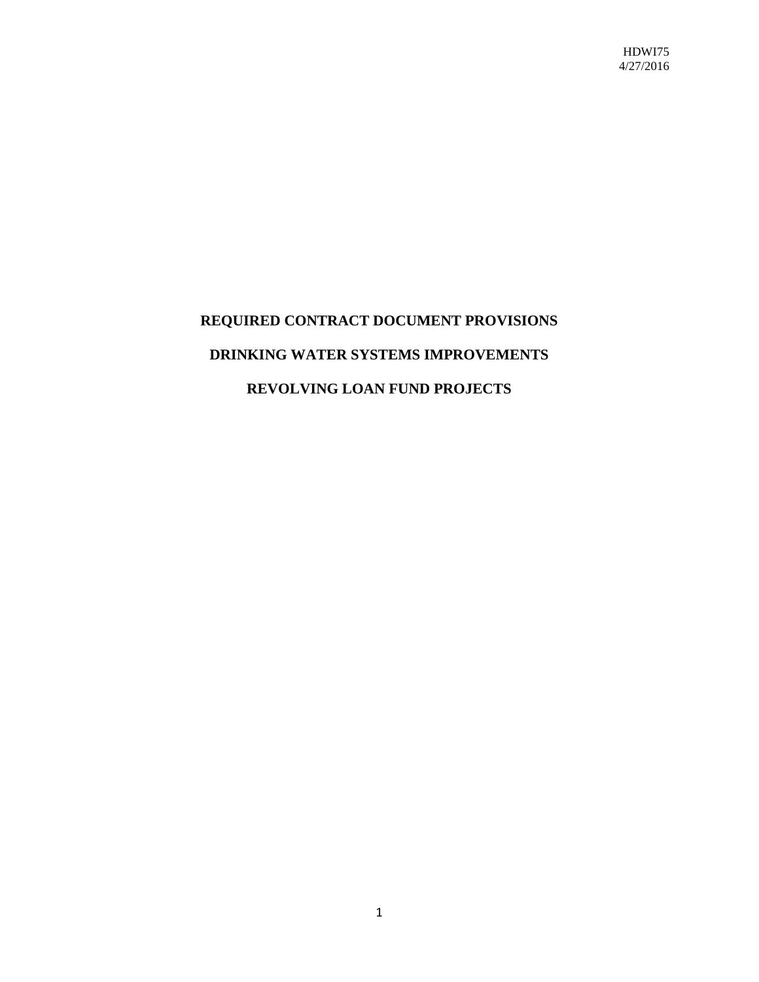HDWI75 4/27/2016

# **REQUIRED CONTRACT DOCUMENT PROVISIONS DRINKING WATER SYSTEMS IMPROVEMENTS REVOLVING LOAN FUND PROJECTS**

1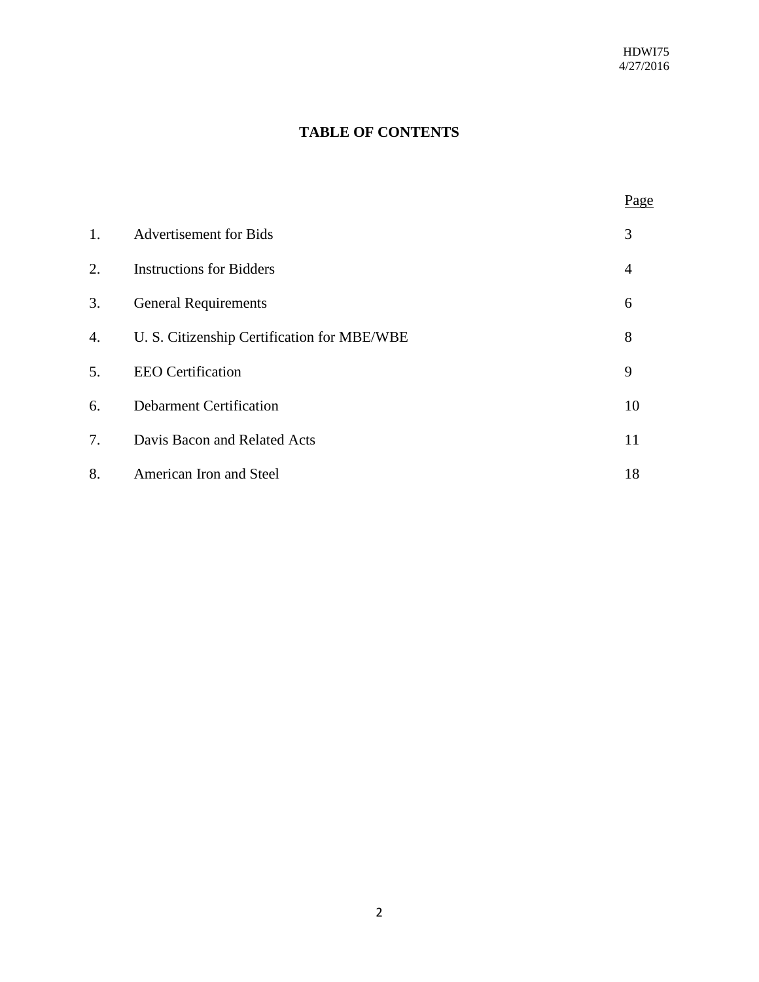Page

## **TABLE OF CONTENTS**

| 1. | <b>Advertisement</b> for Bids               | 3  |
|----|---------------------------------------------|----|
| 2. | <b>Instructions for Bidders</b>             | 4  |
| 3. | <b>General Requirements</b>                 | 6  |
| 4. | U. S. Citizenship Certification for MBE/WBE | 8  |
| 5. | <b>EEO</b> Certification                    | 9  |
| 6. | <b>Debarment Certification</b>              | 10 |
| 7. | Davis Bacon and Related Acts                | 11 |
| 8. | American Iron and Steel                     | 18 |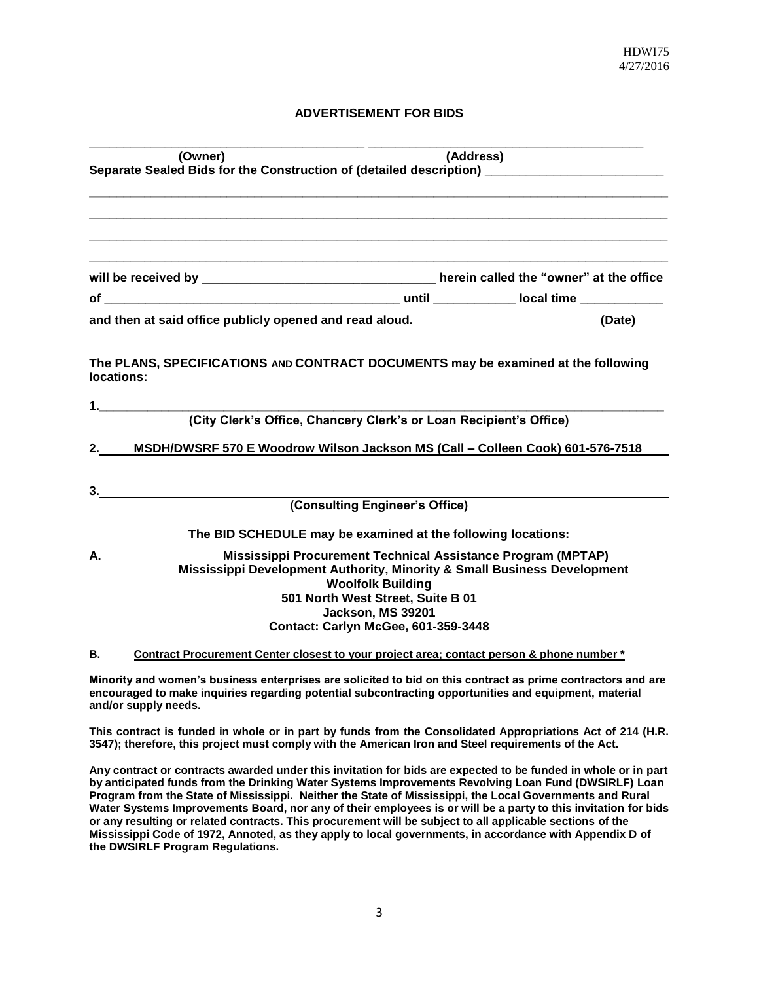#### **ADVERTISEMENT FOR BIDS**

|                                                                                          | (Address)<br>(Owner)                                                                      |        |  |  |  |  |
|------------------------------------------------------------------------------------------|-------------------------------------------------------------------------------------------|--------|--|--|--|--|
| Separate Sealed Bids for the Construction of (detailed description) ____________________ |                                                                                           |        |  |  |  |  |
|                                                                                          |                                                                                           |        |  |  |  |  |
|                                                                                          |                                                                                           |        |  |  |  |  |
|                                                                                          |                                                                                           |        |  |  |  |  |
|                                                                                          |                                                                                           |        |  |  |  |  |
|                                                                                          |                                                                                           |        |  |  |  |  |
|                                                                                          |                                                                                           |        |  |  |  |  |
|                                                                                          | and then at said office publicly opened and read aloud.                                   | (Date) |  |  |  |  |
|                                                                                          |                                                                                           |        |  |  |  |  |
|                                                                                          | The PLANS, SPECIFICATIONS AND CONTRACT DOCUMENTS may be examined at the following         |        |  |  |  |  |
| locations:                                                                               |                                                                                           |        |  |  |  |  |
|                                                                                          |                                                                                           |        |  |  |  |  |
| 1.                                                                                       | (City Clerk's Office, Chancery Clerk's or Loan Recipient's Office)                        |        |  |  |  |  |
|                                                                                          |                                                                                           |        |  |  |  |  |
| 2.                                                                                       | MSDH/DWSRF 570 E Woodrow Wilson Jackson MS (Call - Colleen Cook) 601-576-7518             |        |  |  |  |  |
|                                                                                          |                                                                                           |        |  |  |  |  |
| 3.                                                                                       |                                                                                           |        |  |  |  |  |
|                                                                                          | (Consulting Engineer's Office)                                                            |        |  |  |  |  |
|                                                                                          | The BID SCHEDULE may be examined at the following locations:                              |        |  |  |  |  |
| А.                                                                                       | Mississippi Procurement Technical Assistance Program (MPTAP)                              |        |  |  |  |  |
|                                                                                          | Mississippi Development Authority, Minority & Small Business Development                  |        |  |  |  |  |
|                                                                                          | <b>Woolfolk Building</b><br>501 North West Street, Suite B 01                             |        |  |  |  |  |
|                                                                                          | Jackson, MS 39201                                                                         |        |  |  |  |  |
|                                                                                          | <b>Contact: Carlyn McGee, 601-359-3448</b>                                                |        |  |  |  |  |
| В.                                                                                       | Contract Procurement Center closest to your project area; contact person & phone number * |        |  |  |  |  |

**Minority and women's business enterprises are solicited to bid on this contract as prime contractors and are encouraged to make inquiries regarding potential subcontracting opportunities and equipment, material and/or supply needs.**

**This contract is funded in whole or in part by funds from the Consolidated Appropriations Act of 214 (H.R. 3547); therefore, this project must comply with the American Iron and Steel requirements of the Act.**

**Any contract or contracts awarded under this invitation for bids are expected to be funded in whole or in part by anticipated funds from the Drinking Water Systems Improvements Revolving Loan Fund (DWSIRLF) Loan Program from the State of Mississippi. Neither the State of Mississippi, the Local Governments and Rural Water Systems Improvements Board, nor any of their employees is or will be a party to this invitation for bids or any resulting or related contracts. This procurement will be subject to all applicable sections of the Mississippi Code of 1972, Annoted, as they apply to local governments, in accordance with Appendix D of the DWSIRLF Program Regulations.**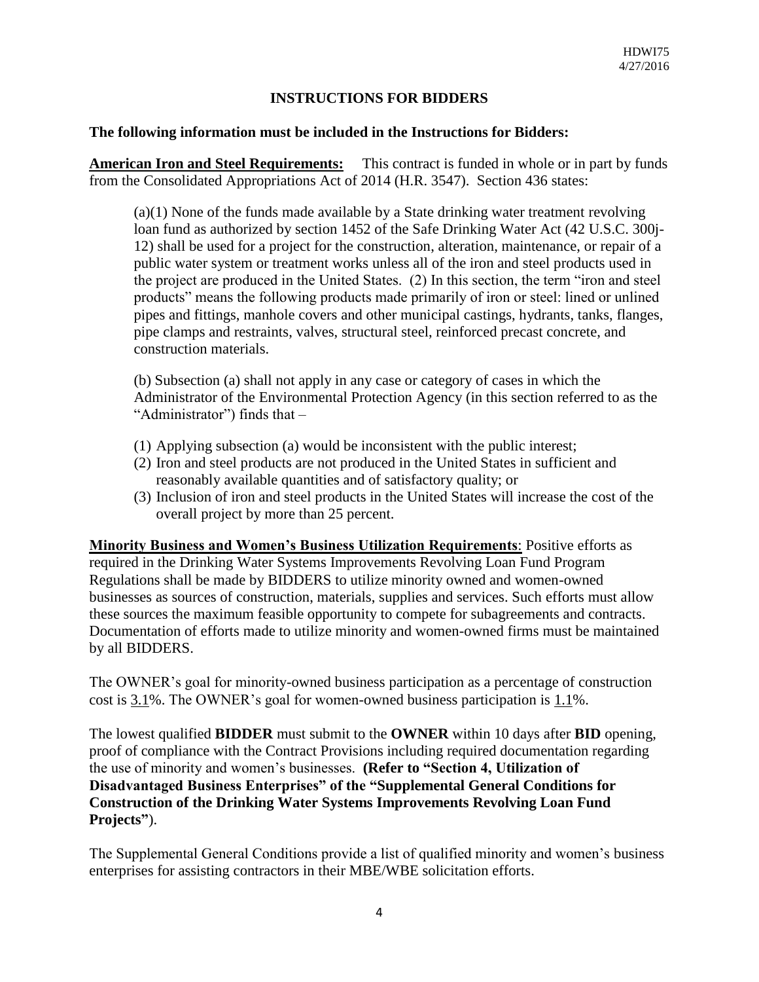## **INSTRUCTIONS FOR BIDDERS**

#### **The following information must be included in the Instructions for Bidders:**

**American Iron and Steel Requirements:** This contract is funded in whole or in part by funds from the Consolidated Appropriations Act of 2014 (H.R. 3547). Section 436 states:

(a)(1) None of the funds made available by a State drinking water treatment revolving loan fund as authorized by section 1452 of the Safe Drinking Water Act (42 U.S.C. 300j-12) shall be used for a project for the construction, alteration, maintenance, or repair of a public water system or treatment works unless all of the iron and steel products used in the project are produced in the United States. (2) In this section, the term "iron and steel products" means the following products made primarily of iron or steel: lined or unlined pipes and fittings, manhole covers and other municipal castings, hydrants, tanks, flanges, pipe clamps and restraints, valves, structural steel, reinforced precast concrete, and construction materials.

(b) Subsection (a) shall not apply in any case or category of cases in which the Administrator of the Environmental Protection Agency (in this section referred to as the "Administrator") finds that –

- (1) Applying subsection (a) would be inconsistent with the public interest;
- (2) Iron and steel products are not produced in the United States in sufficient and reasonably available quantities and of satisfactory quality; or
- (3) Inclusion of iron and steel products in the United States will increase the cost of the overall project by more than 25 percent.

**Minority Business and Women's Business Utilization Requirements**: Positive efforts as required in the Drinking Water Systems Improvements Revolving Loan Fund Program Regulations shall be made by BIDDERS to utilize minority owned and women-owned businesses as sources of construction, materials, supplies and services. Such efforts must allow these sources the maximum feasible opportunity to compete for subagreements and contracts. Documentation of efforts made to utilize minority and women-owned firms must be maintained by all BIDDERS.

The OWNER's goal for minority-owned business participation as a percentage of construction cost is 3.1%. The OWNER's goal for women-owned business participation is 1.1%.

The lowest qualified **BIDDER** must submit to the **OWNER** within 10 days after **BID** opening, proof of compliance with the Contract Provisions including required documentation regarding the use of minority and women's businesses. **(Refer to "Section 4, Utilization of Disadvantaged Business Enterprises" of the "Supplemental General Conditions for Construction of the Drinking Water Systems Improvements Revolving Loan Fund Projects"**).

The Supplemental General Conditions provide a list of qualified minority and women's business enterprises for assisting contractors in their MBE/WBE solicitation efforts.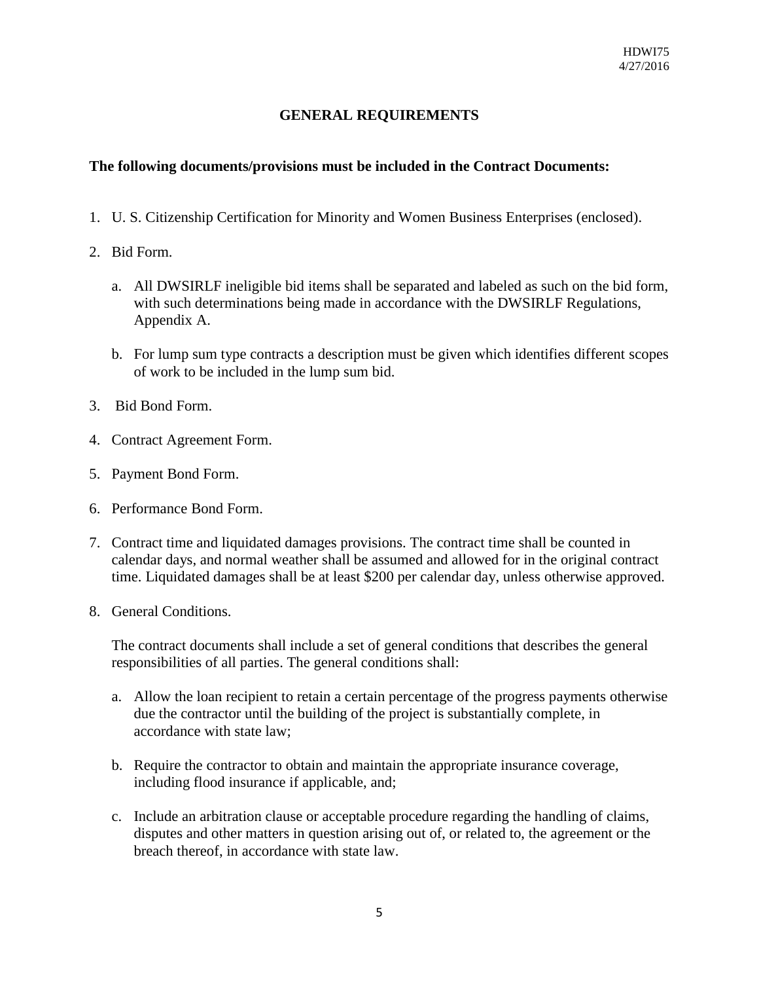## **GENERAL REQUIREMENTS**

## **The following documents/provisions must be included in the Contract Documents:**

- 1. U. S. Citizenship Certification for Minority and Women Business Enterprises (enclosed).
- 2. Bid Form.
	- a. All DWSIRLF ineligible bid items shall be separated and labeled as such on the bid form, with such determinations being made in accordance with the DWSIRLF Regulations, Appendix A.
	- b. For lump sum type contracts a description must be given which identifies different scopes of work to be included in the lump sum bid.
- 3. Bid Bond Form.
- 4. Contract Agreement Form.
- 5. Payment Bond Form.
- 6. Performance Bond Form.
- 7. Contract time and liquidated damages provisions. The contract time shall be counted in calendar days, and normal weather shall be assumed and allowed for in the original contract time. Liquidated damages shall be at least \$200 per calendar day, unless otherwise approved.
- 8. General Conditions.

The contract documents shall include a set of general conditions that describes the general responsibilities of all parties. The general conditions shall:

- a. Allow the loan recipient to retain a certain percentage of the progress payments otherwise due the contractor until the building of the project is substantially complete, in accordance with state law;
- b. Require the contractor to obtain and maintain the appropriate insurance coverage, including flood insurance if applicable, and;
- c. Include an arbitration clause or acceptable procedure regarding the handling of claims, disputes and other matters in question arising out of, or related to, the agreement or the breach thereof, in accordance with state law.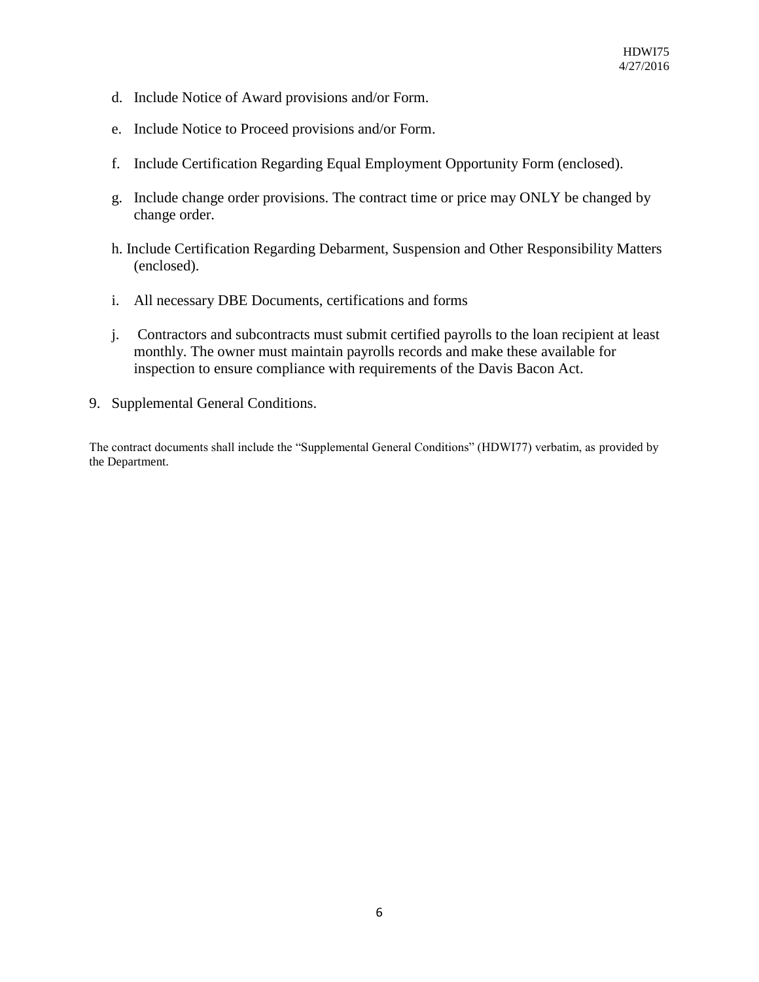- d. Include Notice of Award provisions and/or Form.
- e. Include Notice to Proceed provisions and/or Form.
- f. Include Certification Regarding Equal Employment Opportunity Form (enclosed).
- g. Include change order provisions. The contract time or price may ONLY be changed by change order.
- h. Include Certification Regarding Debarment, Suspension and Other Responsibility Matters (enclosed).
- i. All necessary DBE Documents, certifications and forms
- j. Contractors and subcontracts must submit certified payrolls to the loan recipient at least monthly. The owner must maintain payrolls records and make these available for inspection to ensure compliance with requirements of the Davis Bacon Act.
- 9. Supplemental General Conditions.

The contract documents shall include the "Supplemental General Conditions" (HDWI77) verbatim, as provided by the Department.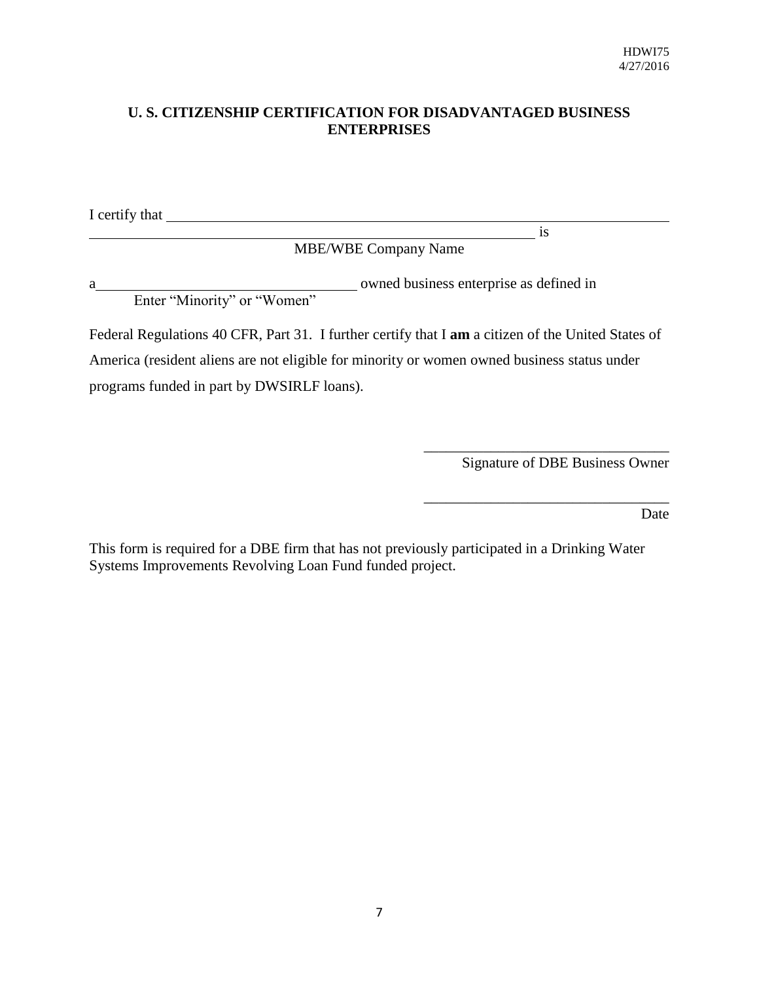## **U. S. CITIZENSHIP CERTIFICATION FOR DISADVANTAGED BUSINESS ENTERPRISES**

I certify that  $\qquad \qquad$ 

MBE/WBE Company Name

a owned business enterprise as defined in Enter "Minority" or "Women"

Federal Regulations 40 CFR, Part 31. I further certify that I **am** a citizen of the United States of America (resident aliens are not eligible for minority or women owned business status under programs funded in part by DWSIRLF loans).

Signature of DBE Business Owner

\_\_\_\_\_\_\_\_\_\_\_\_\_\_\_\_\_\_\_\_\_\_\_\_\_\_\_\_\_\_\_\_\_

\_\_\_\_\_\_\_\_\_\_\_\_\_\_\_\_\_\_\_\_\_\_\_\_\_\_\_\_\_\_\_\_\_

is

Date

This form is required for a DBE firm that has not previously participated in a Drinking Water Systems Improvements Revolving Loan Fund funded project.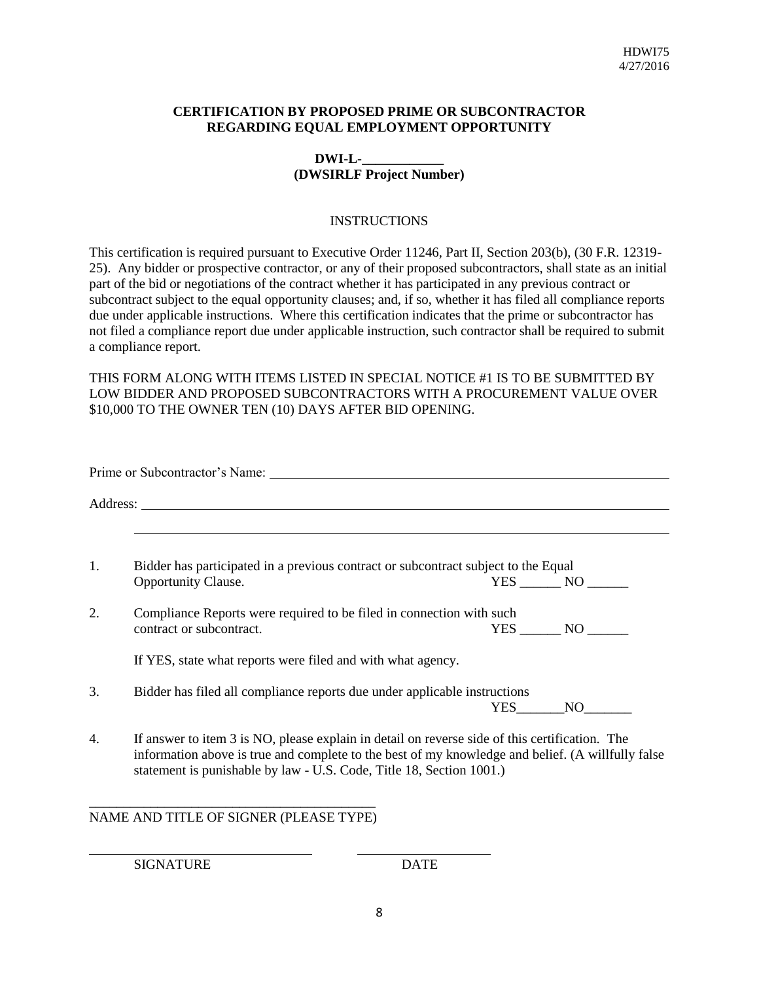#### **CERTIFICATION BY PROPOSED PRIME OR SUBCONTRACTOR REGARDING EQUAL EMPLOYMENT OPPORTUNITY**

### **DWI-L-\_\_\_\_\_\_\_\_\_\_\_\_ (DWSIRLF Project Number)**

#### **INSTRUCTIONS**

This certification is required pursuant to Executive Order 11246, Part II, Section 203(b), (30 F.R. 12319- 25). Any bidder or prospective contractor, or any of their proposed subcontractors, shall state as an initial part of the bid or negotiations of the contract whether it has participated in any previous contract or subcontract subject to the equal opportunity clauses; and, if so, whether it has filed all compliance reports due under applicable instructions. Where this certification indicates that the prime or subcontractor has not filed a compliance report due under applicable instruction, such contractor shall be required to submit a compliance report.

THIS FORM ALONG WITH ITEMS LISTED IN SPECIAL NOTICE #1 IS TO BE SUBMITTED BY LOW BIDDER AND PROPOSED SUBCONTRACTORS WITH A PROCUREMENT VALUE OVER \$10,000 TO THE OWNER TEN (10) DAYS AFTER BID OPENING.

| Opportunity Clause.                                         | YES NO                                                                                                                                                                                                                                                                                                                                                                                                                                                                                                                                                   |
|-------------------------------------------------------------|----------------------------------------------------------------------------------------------------------------------------------------------------------------------------------------------------------------------------------------------------------------------------------------------------------------------------------------------------------------------------------------------------------------------------------------------------------------------------------------------------------------------------------------------------------|
| contract or subcontract.                                    | $YES$ NO $\qquad$                                                                                                                                                                                                                                                                                                                                                                                                                                                                                                                                        |
| If YES, state what reports were filed and with what agency. |                                                                                                                                                                                                                                                                                                                                                                                                                                                                                                                                                          |
|                                                             | YES NO                                                                                                                                                                                                                                                                                                                                                                                                                                                                                                                                                   |
|                                                             |                                                                                                                                                                                                                                                                                                                                                                                                                                                                                                                                                          |
|                                                             | Prime or Subcontractor's Name:<br>Bidder has participated in a previous contract or subcontract subject to the Equal<br>Compliance Reports were required to be filed in connection with such<br>Bidder has filed all compliance reports due under applicable instructions<br>If answer to item 3 is NO, please explain in detail on reverse side of this certification. The<br>information above is true and complete to the best of my knowledge and belief. (A willfully false<br>statement is punishable by law - U.S. Code, Title 18, Section 1001.) |

## NAME AND TITLE OF SIGNER (PLEASE TYPE)

SIGNATURE DATE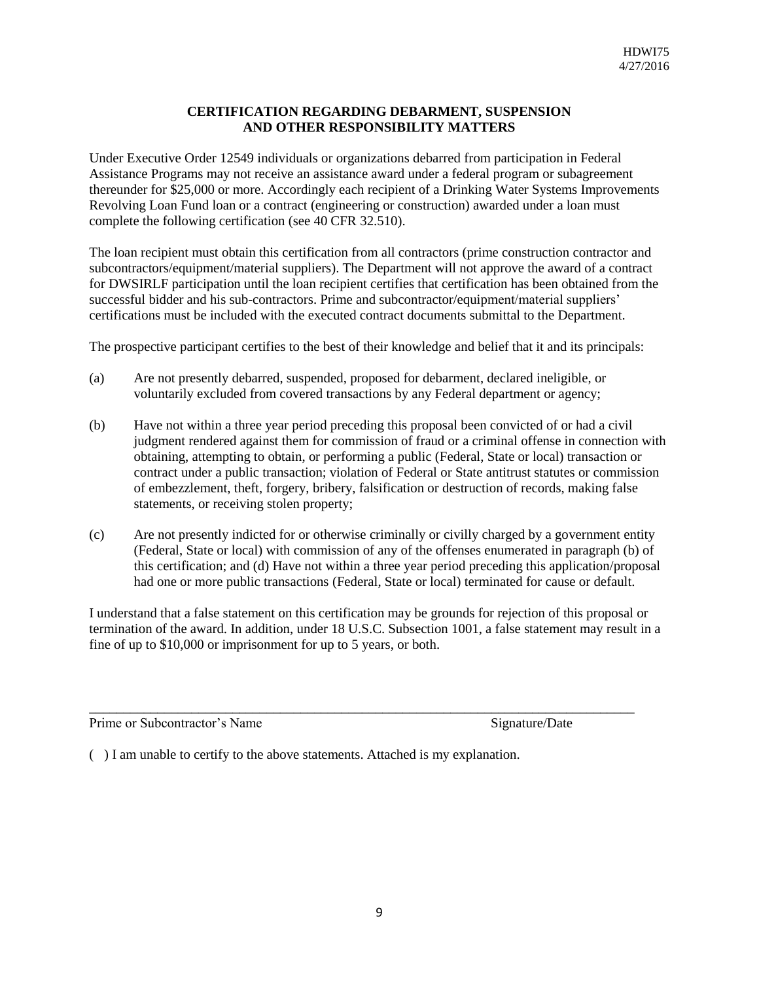#### **CERTIFICATION REGARDING DEBARMENT, SUSPENSION AND OTHER RESPONSIBILITY MATTERS**

Under Executive Order 12549 individuals or organizations debarred from participation in Federal Assistance Programs may not receive an assistance award under a federal program or subagreement thereunder for \$25,000 or more. Accordingly each recipient of a Drinking Water Systems Improvements Revolving Loan Fund loan or a contract (engineering or construction) awarded under a loan must complete the following certification (see 40 CFR 32.510).

The loan recipient must obtain this certification from all contractors (prime construction contractor and subcontractors/equipment/material suppliers). The Department will not approve the award of a contract for DWSIRLF participation until the loan recipient certifies that certification has been obtained from the successful bidder and his sub-contractors. Prime and subcontractor/equipment/material suppliers' certifications must be included with the executed contract documents submittal to the Department.

The prospective participant certifies to the best of their knowledge and belief that it and its principals:

- (a) Are not presently debarred, suspended, proposed for debarment, declared ineligible, or voluntarily excluded from covered transactions by any Federal department or agency;
- (b) Have not within a three year period preceding this proposal been convicted of or had a civil judgment rendered against them for commission of fraud or a criminal offense in connection with obtaining, attempting to obtain, or performing a public (Federal, State or local) transaction or contract under a public transaction; violation of Federal or State antitrust statutes or commission of embezzlement, theft, forgery, bribery, falsification or destruction of records, making false statements, or receiving stolen property;
- (c) Are not presently indicted for or otherwise criminally or civilly charged by a government entity (Federal, State or local) with commission of any of the offenses enumerated in paragraph (b) of this certification; and (d) Have not within a three year period preceding this application/proposal had one or more public transactions (Federal, State or local) terminated for cause or default.

I understand that a false statement on this certification may be grounds for rejection of this proposal or termination of the award. In addition, under 18 U.S.C. Subsection 1001, a false statement may result in a fine of up to \$10,000 or imprisonment for up to 5 years, or both.

\_\_\_\_\_\_\_\_\_\_\_\_\_\_\_\_\_\_\_\_\_\_\_\_\_\_\_\_\_\_\_\_\_\_\_\_\_\_\_\_\_\_\_\_\_\_\_\_\_\_\_\_\_\_\_\_\_\_\_\_\_\_\_\_\_\_\_\_\_\_\_\_\_\_\_\_\_\_\_\_

Prime or Subcontractor's Name Signature/Date Signature/Date

( ) I am unable to certify to the above statements. Attached is my explanation.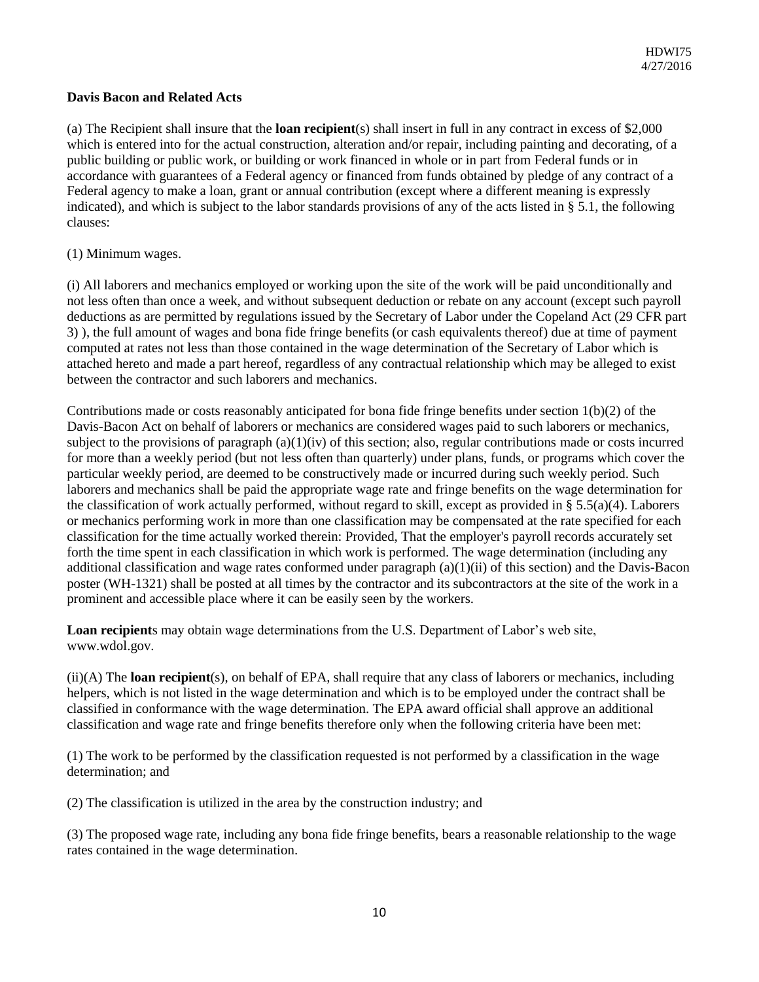#### **Davis Bacon and Related Acts**

(a) The Recipient shall insure that the **loan recipient**(s) shall insert in full in any contract in excess of \$2,000 which is entered into for the actual construction, alteration and/or repair, including painting and decorating, of a public building or public work, or building or work financed in whole or in part from Federal funds or in accordance with guarantees of a Federal agency or financed from funds obtained by pledge of any contract of a Federal agency to make a loan, grant or annual contribution (except where a different meaning is expressly indicated), and which is subject to the labor standards provisions of any of the acts listed in § 5.1, the following clauses:

#### (1) Minimum wages.

(i) All laborers and mechanics employed or working upon the site of the work will be paid unconditionally and not less often than once a week, and without subsequent deduction or rebate on any account (except such payroll deductions as are permitted by regulations issued by the Secretary of Labor under the Copeland Act (29 CFR part 3) ), the full amount of wages and bona fide fringe benefits (or cash equivalents thereof) due at time of payment computed at rates not less than those contained in the wage determination of the Secretary of Labor which is attached hereto and made a part hereof, regardless of any contractual relationship which may be alleged to exist between the contractor and such laborers and mechanics.

Contributions made or costs reasonably anticipated for bona fide fringe benefits under section  $1(b)(2)$  of the Davis-Bacon Act on behalf of laborers or mechanics are considered wages paid to such laborers or mechanics, subject to the provisions of paragraph  $(a)(1)(iv)$  of this section; also, regular contributions made or costs incurred for more than a weekly period (but not less often than quarterly) under plans, funds, or programs which cover the particular weekly period, are deemed to be constructively made or incurred during such weekly period. Such laborers and mechanics shall be paid the appropriate wage rate and fringe benefits on the wage determination for the classification of work actually performed, without regard to skill, except as provided in § 5.5(a)(4). Laborers or mechanics performing work in more than one classification may be compensated at the rate specified for each classification for the time actually worked therein: Provided, That the employer's payroll records accurately set forth the time spent in each classification in which work is performed. The wage determination (including any additional classification and wage rates conformed under paragraph (a)(1)(ii) of this section) and the Davis-Bacon poster (WH-1321) shall be posted at all times by the contractor and its subcontractors at the site of the work in a prominent and accessible place where it can be easily seen by the workers.

**Loan recipient**s may obtain wage determinations from the U.S. Department of Labor's web site, www.wdol.gov.

(ii)(A) The **loan recipient**(s), on behalf of EPA, shall require that any class of laborers or mechanics, including helpers, which is not listed in the wage determination and which is to be employed under the contract shall be classified in conformance with the wage determination. The EPA award official shall approve an additional classification and wage rate and fringe benefits therefore only when the following criteria have been met:

(1) The work to be performed by the classification requested is not performed by a classification in the wage determination; and

(2) The classification is utilized in the area by the construction industry; and

(3) The proposed wage rate, including any bona fide fringe benefits, bears a reasonable relationship to the wage rates contained in the wage determination.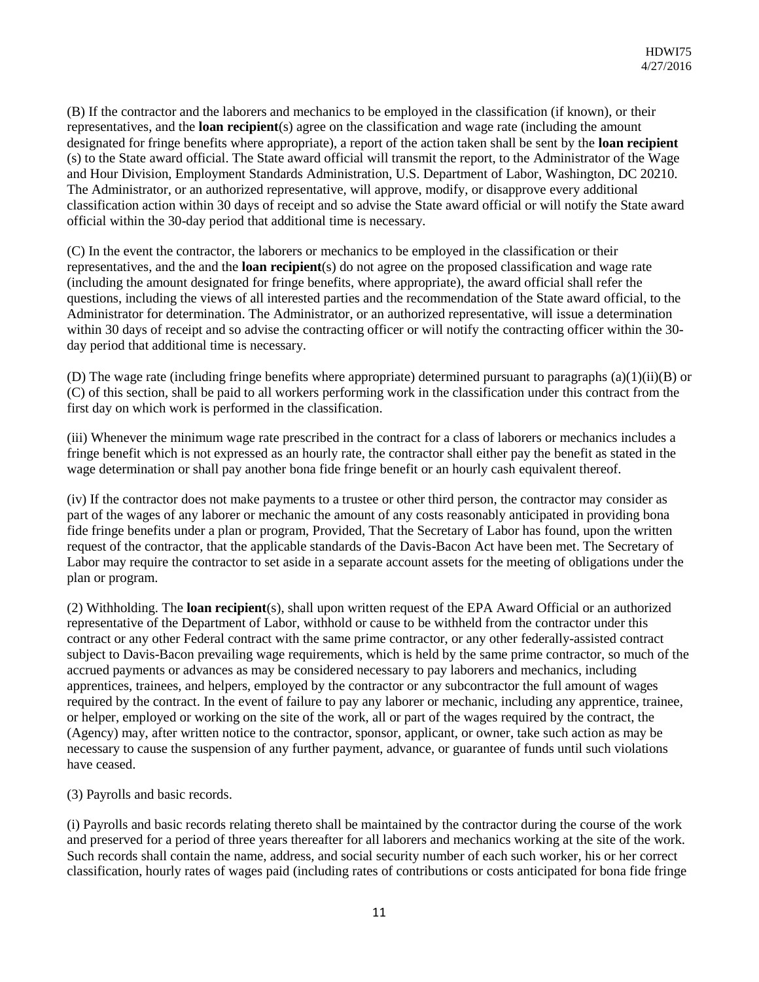(B) If the contractor and the laborers and mechanics to be employed in the classification (if known), or their representatives, and the **loan recipient**(s) agree on the classification and wage rate (including the amount designated for fringe benefits where appropriate), a report of the action taken shall be sent by the **loan recipient**  (s) to the State award official. The State award official will transmit the report, to the Administrator of the Wage and Hour Division, Employment Standards Administration, U.S. Department of Labor, Washington, DC 20210. The Administrator, or an authorized representative, will approve, modify, or disapprove every additional classification action within 30 days of receipt and so advise the State award official or will notify the State award official within the 30-day period that additional time is necessary.

(C) In the event the contractor, the laborers or mechanics to be employed in the classification or their representatives, and the and the **loan recipient**(s) do not agree on the proposed classification and wage rate (including the amount designated for fringe benefits, where appropriate), the award official shall refer the questions, including the views of all interested parties and the recommendation of the State award official, to the Administrator for determination. The Administrator, or an authorized representative, will issue a determination within 30 days of receipt and so advise the contracting officer or will notify the contracting officer within the 30 day period that additional time is necessary.

(D) The wage rate (including fringe benefits where appropriate) determined pursuant to paragraphs  $(a)(1)(ii)(B)$  or (C) of this section, shall be paid to all workers performing work in the classification under this contract from the first day on which work is performed in the classification.

(iii) Whenever the minimum wage rate prescribed in the contract for a class of laborers or mechanics includes a fringe benefit which is not expressed as an hourly rate, the contractor shall either pay the benefit as stated in the wage determination or shall pay another bona fide fringe benefit or an hourly cash equivalent thereof.

(iv) If the contractor does not make payments to a trustee or other third person, the contractor may consider as part of the wages of any laborer or mechanic the amount of any costs reasonably anticipated in providing bona fide fringe benefits under a plan or program, Provided, That the Secretary of Labor has found, upon the written request of the contractor, that the applicable standards of the Davis-Bacon Act have been met. The Secretary of Labor may require the contractor to set aside in a separate account assets for the meeting of obligations under the plan or program.

(2) Withholding. The **loan recipient**(s), shall upon written request of the EPA Award Official or an authorized representative of the Department of Labor, withhold or cause to be withheld from the contractor under this contract or any other Federal contract with the same prime contractor, or any other federally-assisted contract subject to Davis-Bacon prevailing wage requirements, which is held by the same prime contractor, so much of the accrued payments or advances as may be considered necessary to pay laborers and mechanics, including apprentices, trainees, and helpers, employed by the contractor or any subcontractor the full amount of wages required by the contract. In the event of failure to pay any laborer or mechanic, including any apprentice, trainee, or helper, employed or working on the site of the work, all or part of the wages required by the contract, the (Agency) may, after written notice to the contractor, sponsor, applicant, or owner, take such action as may be necessary to cause the suspension of any further payment, advance, or guarantee of funds until such violations have ceased.

(3) Payrolls and basic records.

(i) Payrolls and basic records relating thereto shall be maintained by the contractor during the course of the work and preserved for a period of three years thereafter for all laborers and mechanics working at the site of the work. Such records shall contain the name, address, and social security number of each such worker, his or her correct classification, hourly rates of wages paid (including rates of contributions or costs anticipated for bona fide fringe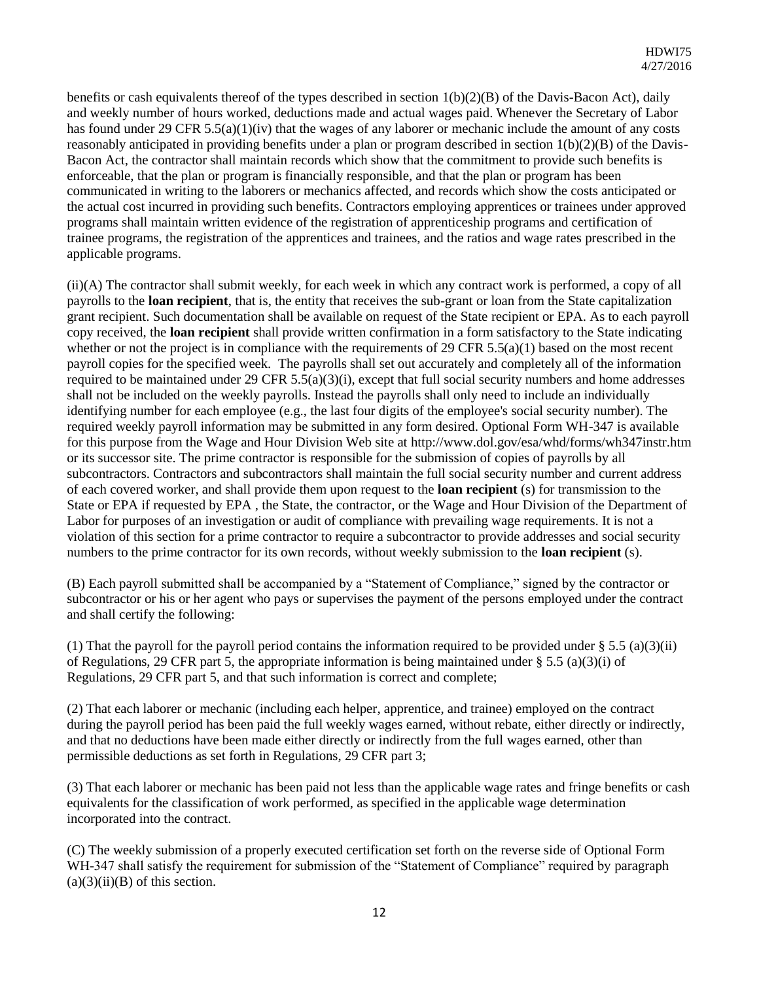benefits or cash equivalents thereof of the types described in section 1(b)(2)(B) of the Davis-Bacon Act), daily and weekly number of hours worked, deductions made and actual wages paid. Whenever the Secretary of Labor has found under 29 CFR 5.5(a)(1)(iv) that the wages of any laborer or mechanic include the amount of any costs reasonably anticipated in providing benefits under a plan or program described in section 1(b)(2)(B) of the Davis-Bacon Act, the contractor shall maintain records which show that the commitment to provide such benefits is enforceable, that the plan or program is financially responsible, and that the plan or program has been communicated in writing to the laborers or mechanics affected, and records which show the costs anticipated or the actual cost incurred in providing such benefits. Contractors employing apprentices or trainees under approved programs shall maintain written evidence of the registration of apprenticeship programs and certification of trainee programs, the registration of the apprentices and trainees, and the ratios and wage rates prescribed in the applicable programs.

(ii)(A) The contractor shall submit weekly, for each week in which any contract work is performed, a copy of all payrolls to the **loan recipient**, that is, the entity that receives the sub-grant or loan from the State capitalization grant recipient. Such documentation shall be available on request of the State recipient or EPA. As to each payroll copy received, the **loan recipient** shall provide written confirmation in a form satisfactory to the State indicating whether or not the project is in compliance with the requirements of 29 CFR 5.5(a)(1) based on the most recent payroll copies for the specified week. The payrolls shall set out accurately and completely all of the information required to be maintained under 29 CFR 5.5(a)(3)(i), except that full social security numbers and home addresses shall not be included on the weekly payrolls. Instead the payrolls shall only need to include an individually identifying number for each employee (e.g., the last four digits of the employee's social security number). The required weekly payroll information may be submitted in any form desired. Optional Form WH-347 is available for this purpose from the Wage and Hour Division Web site at http://www.dol.gov/esa/whd/forms/wh347instr.htm or its successor site. The prime contractor is responsible for the submission of copies of payrolls by all subcontractors. Contractors and subcontractors shall maintain the full social security number and current address of each covered worker, and shall provide them upon request to the **loan recipient** (s) for transmission to the State or EPA if requested by EPA , the State, the contractor, or the Wage and Hour Division of the Department of Labor for purposes of an investigation or audit of compliance with prevailing wage requirements. It is not a violation of this section for a prime contractor to require a subcontractor to provide addresses and social security numbers to the prime contractor for its own records, without weekly submission to the **loan recipient** (s).

(B) Each payroll submitted shall be accompanied by a "Statement of Compliance," signed by the contractor or subcontractor or his or her agent who pays or supervises the payment of the persons employed under the contract and shall certify the following:

(1) That the payroll for the payroll period contains the information required to be provided under  $\S$  5.5 (a)(3)(ii) of Regulations, 29 CFR part 5, the appropriate information is being maintained under  $\S$  5.5 (a)(3)(i) of Regulations, 29 CFR part 5, and that such information is correct and complete;

(2) That each laborer or mechanic (including each helper, apprentice, and trainee) employed on the contract during the payroll period has been paid the full weekly wages earned, without rebate, either directly or indirectly, and that no deductions have been made either directly or indirectly from the full wages earned, other than permissible deductions as set forth in Regulations, 29 CFR part 3;

(3) That each laborer or mechanic has been paid not less than the applicable wage rates and fringe benefits or cash equivalents for the classification of work performed, as specified in the applicable wage determination incorporated into the contract.

(C) The weekly submission of a properly executed certification set forth on the reverse side of Optional Form WH-347 shall satisfy the requirement for submission of the "Statement of Compliance" required by paragraph  $(a)(3)(ii)(B)$  of this section.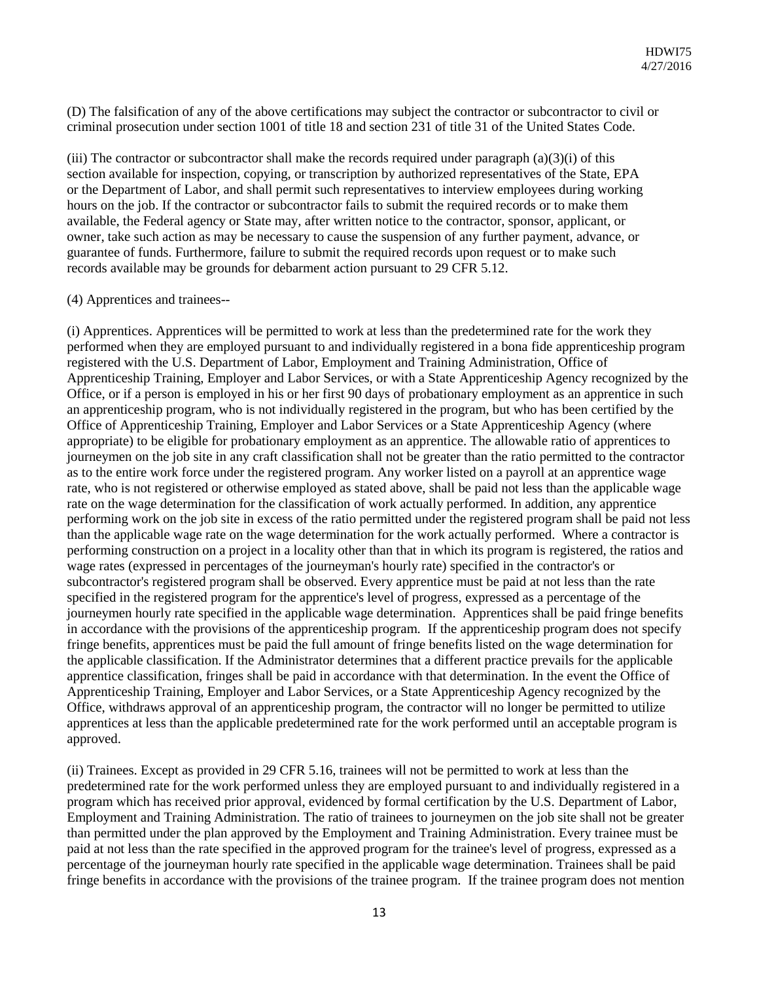(D) The falsification of any of the above certifications may subject the contractor or subcontractor to civil or criminal prosecution under section 1001 of title 18 and section 231 of title 31 of the United States Code.

(iii) The contractor or subcontractor shall make the records required under paragraph  $(a)(3)(i)$  of this section available for inspection, copying, or transcription by authorized representatives of the State, EPA or the Department of Labor, and shall permit such representatives to interview employees during working hours on the job. If the contractor or subcontractor fails to submit the required records or to make them available, the Federal agency or State may, after written notice to the contractor, sponsor, applicant, or owner, take such action as may be necessary to cause the suspension of any further payment, advance, or guarantee of funds. Furthermore, failure to submit the required records upon request or to make such records available may be grounds for debarment action pursuant to 29 CFR 5.12.

#### (4) Apprentices and trainees--

(i) Apprentices. Apprentices will be permitted to work at less than the predetermined rate for the work they performed when they are employed pursuant to and individually registered in a bona fide apprenticeship program registered with the U.S. Department of Labor, Employment and Training Administration, Office of Apprenticeship Training, Employer and Labor Services, or with a State Apprenticeship Agency recognized by the Office, or if a person is employed in his or her first 90 days of probationary employment as an apprentice in such an apprenticeship program, who is not individually registered in the program, but who has been certified by the Office of Apprenticeship Training, Employer and Labor Services or a State Apprenticeship Agency (where appropriate) to be eligible for probationary employment as an apprentice. The allowable ratio of apprentices to journeymen on the job site in any craft classification shall not be greater than the ratio permitted to the contractor as to the entire work force under the registered program. Any worker listed on a payroll at an apprentice wage rate, who is not registered or otherwise employed as stated above, shall be paid not less than the applicable wage rate on the wage determination for the classification of work actually performed. In addition, any apprentice performing work on the job site in excess of the ratio permitted under the registered program shall be paid not less than the applicable wage rate on the wage determination for the work actually performed. Where a contractor is performing construction on a project in a locality other than that in which its program is registered, the ratios and wage rates (expressed in percentages of the journeyman's hourly rate) specified in the contractor's or subcontractor's registered program shall be observed. Every apprentice must be paid at not less than the rate specified in the registered program for the apprentice's level of progress, expressed as a percentage of the journeymen hourly rate specified in the applicable wage determination. Apprentices shall be paid fringe benefits in accordance with the provisions of the apprenticeship program. If the apprenticeship program does not specify fringe benefits, apprentices must be paid the full amount of fringe benefits listed on the wage determination for the applicable classification. If the Administrator determines that a different practice prevails for the applicable apprentice classification, fringes shall be paid in accordance with that determination. In the event the Office of Apprenticeship Training, Employer and Labor Services, or a State Apprenticeship Agency recognized by the Office, withdraws approval of an apprenticeship program, the contractor will no longer be permitted to utilize apprentices at less than the applicable predetermined rate for the work performed until an acceptable program is approved.

(ii) Trainees. Except as provided in 29 CFR 5.16, trainees will not be permitted to work at less than the predetermined rate for the work performed unless they are employed pursuant to and individually registered in a program which has received prior approval, evidenced by formal certification by the U.S. Department of Labor, Employment and Training Administration. The ratio of trainees to journeymen on the job site shall not be greater than permitted under the plan approved by the Employment and Training Administration. Every trainee must be paid at not less than the rate specified in the approved program for the trainee's level of progress, expressed as a percentage of the journeyman hourly rate specified in the applicable wage determination. Trainees shall be paid fringe benefits in accordance with the provisions of the trainee program. If the trainee program does not mention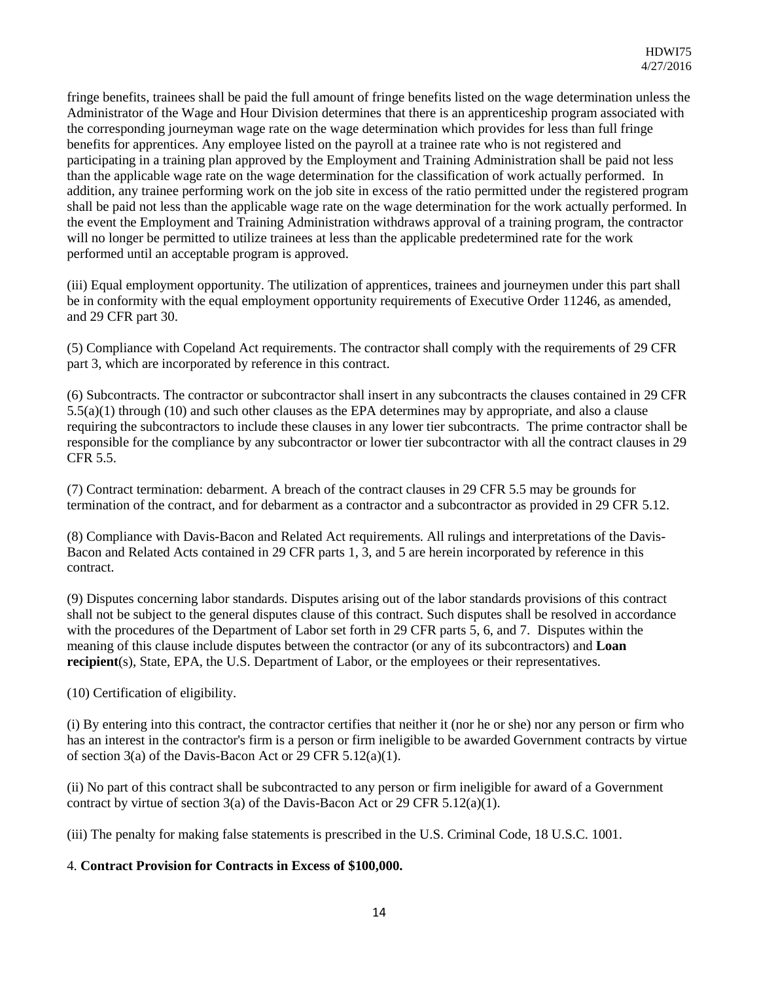fringe benefits, trainees shall be paid the full amount of fringe benefits listed on the wage determination unless the Administrator of the Wage and Hour Division determines that there is an apprenticeship program associated with the corresponding journeyman wage rate on the wage determination which provides for less than full fringe benefits for apprentices. Any employee listed on the payroll at a trainee rate who is not registered and participating in a training plan approved by the Employment and Training Administration shall be paid not less than the applicable wage rate on the wage determination for the classification of work actually performed. In addition, any trainee performing work on the job site in excess of the ratio permitted under the registered program shall be paid not less than the applicable wage rate on the wage determination for the work actually performed. In the event the Employment and Training Administration withdraws approval of a training program, the contractor will no longer be permitted to utilize trainees at less than the applicable predetermined rate for the work performed until an acceptable program is approved.

(iii) Equal employment opportunity. The utilization of apprentices, trainees and journeymen under this part shall be in conformity with the equal employment opportunity requirements of Executive Order 11246, as amended, and 29 CFR part 30.

(5) Compliance with Copeland Act requirements. The contractor shall comply with the requirements of 29 CFR part 3, which are incorporated by reference in this contract.

(6) Subcontracts. The contractor or subcontractor shall insert in any subcontracts the clauses contained in 29 CFR 5.5(a)(1) through (10) and such other clauses as the EPA determines may by appropriate, and also a clause requiring the subcontractors to include these clauses in any lower tier subcontracts. The prime contractor shall be responsible for the compliance by any subcontractor or lower tier subcontractor with all the contract clauses in 29 CFR 5.5.

(7) Contract termination: debarment. A breach of the contract clauses in 29 CFR 5.5 may be grounds for termination of the contract, and for debarment as a contractor and a subcontractor as provided in 29 CFR 5.12.

(8) Compliance with Davis-Bacon and Related Act requirements. All rulings and interpretations of the Davis-Bacon and Related Acts contained in 29 CFR parts 1, 3, and 5 are herein incorporated by reference in this contract.

(9) Disputes concerning labor standards. Disputes arising out of the labor standards provisions of this contract shall not be subject to the general disputes clause of this contract. Such disputes shall be resolved in accordance with the procedures of the Department of Labor set forth in 29 CFR parts 5, 6, and 7. Disputes within the meaning of this clause include disputes between the contractor (or any of its subcontractors) and **Loan recipient**(s), State, EPA, the U.S. Department of Labor, or the employees or their representatives.

(10) Certification of eligibility.

(i) By entering into this contract, the contractor certifies that neither it (nor he or she) nor any person or firm who has an interest in the contractor's firm is a person or firm ineligible to be awarded Government contracts by virtue of section 3(a) of the Davis-Bacon Act or 29 CFR 5.12(a)(1).

(ii) No part of this contract shall be subcontracted to any person or firm ineligible for award of a Government contract by virtue of section  $3(a)$  of the Davis-Bacon Act or 29 CFR 5.12(a)(1).

(iii) The penalty for making false statements is prescribed in the U.S. Criminal Code, 18 U.S.C. 1001.

#### 4. **Contract Provision for Contracts in Excess of \$100,000.**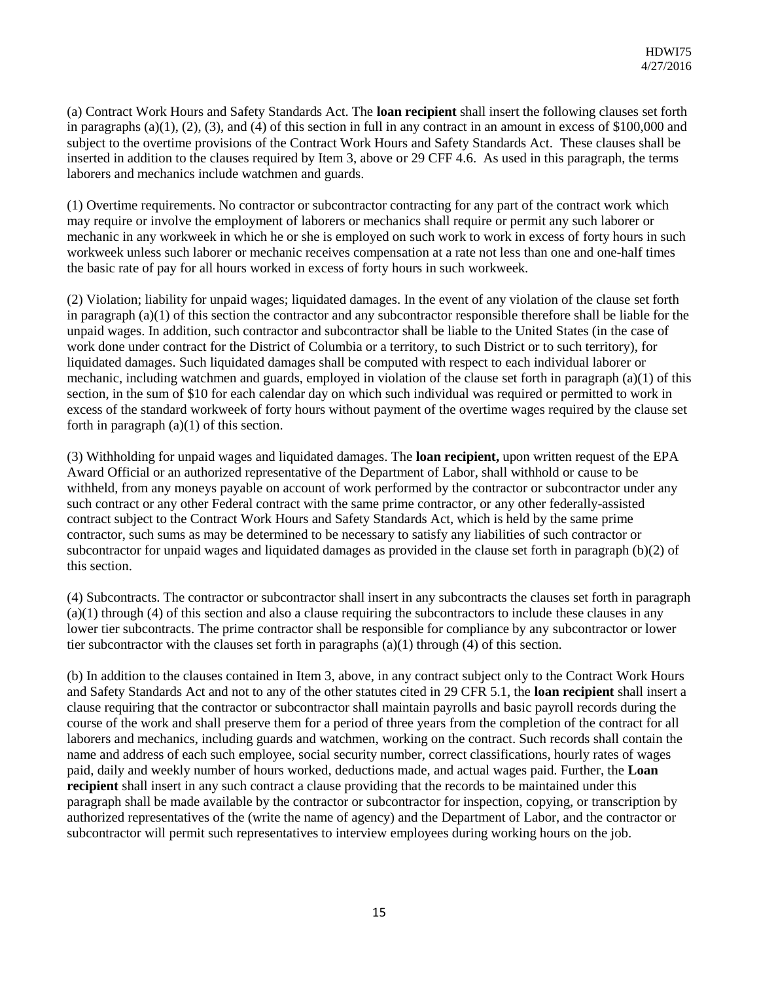(a) Contract Work Hours and Safety Standards Act. The **loan recipient** shall insert the following clauses set forth in paragraphs  $(a)(1), (2), (3),$  and  $(4)$  of this section in full in any contract in an amount in excess of \$100,000 and subject to the overtime provisions of the Contract Work Hours and Safety Standards Act. These clauses shall be inserted in addition to the clauses required by Item 3, above or 29 CFF 4.6. As used in this paragraph, the terms laborers and mechanics include watchmen and guards.

(1) Overtime requirements. No contractor or subcontractor contracting for any part of the contract work which may require or involve the employment of laborers or mechanics shall require or permit any such laborer or mechanic in any workweek in which he or she is employed on such work to work in excess of forty hours in such workweek unless such laborer or mechanic receives compensation at a rate not less than one and one-half times the basic rate of pay for all hours worked in excess of forty hours in such workweek.

(2) Violation; liability for unpaid wages; liquidated damages. In the event of any violation of the clause set forth in paragraph  $(a)(1)$  of this section the contractor and any subcontractor responsible therefore shall be liable for the unpaid wages. In addition, such contractor and subcontractor shall be liable to the United States (in the case of work done under contract for the District of Columbia or a territory, to such District or to such territory), for liquidated damages. Such liquidated damages shall be computed with respect to each individual laborer or mechanic, including watchmen and guards, employed in violation of the clause set forth in paragraph (a)(1) of this section, in the sum of \$10 for each calendar day on which such individual was required or permitted to work in excess of the standard workweek of forty hours without payment of the overtime wages required by the clause set forth in paragraph  $(a)(1)$  of this section.

(3) Withholding for unpaid wages and liquidated damages. The **loan recipient,** upon written request of the EPA Award Official or an authorized representative of the Department of Labor, shall withhold or cause to be withheld, from any moneys payable on account of work performed by the contractor or subcontractor under any such contract or any other Federal contract with the same prime contractor, or any other federally-assisted contract subject to the Contract Work Hours and Safety Standards Act, which is held by the same prime contractor, such sums as may be determined to be necessary to satisfy any liabilities of such contractor or subcontractor for unpaid wages and liquidated damages as provided in the clause set forth in paragraph (b)(2) of this section.

(4) Subcontracts. The contractor or subcontractor shall insert in any subcontracts the clauses set forth in paragraph (a)(1) through (4) of this section and also a clause requiring the subcontractors to include these clauses in any lower tier subcontracts. The prime contractor shall be responsible for compliance by any subcontractor or lower tier subcontractor with the clauses set forth in paragraphs  $(a)(1)$  through  $(4)$  of this section.

(b) In addition to the clauses contained in Item 3, above, in any contract subject only to the Contract Work Hours and Safety Standards Act and not to any of the other statutes cited in 29 CFR 5.1, the **loan recipient** shall insert a clause requiring that the contractor or subcontractor shall maintain payrolls and basic payroll records during the course of the work and shall preserve them for a period of three years from the completion of the contract for all laborers and mechanics, including guards and watchmen, working on the contract. Such records shall contain the name and address of each such employee, social security number, correct classifications, hourly rates of wages paid, daily and weekly number of hours worked, deductions made, and actual wages paid. Further, the **Loan recipient** shall insert in any such contract a clause providing that the records to be maintained under this paragraph shall be made available by the contractor or subcontractor for inspection, copying, or transcription by authorized representatives of the (write the name of agency) and the Department of Labor, and the contractor or subcontractor will permit such representatives to interview employees during working hours on the job.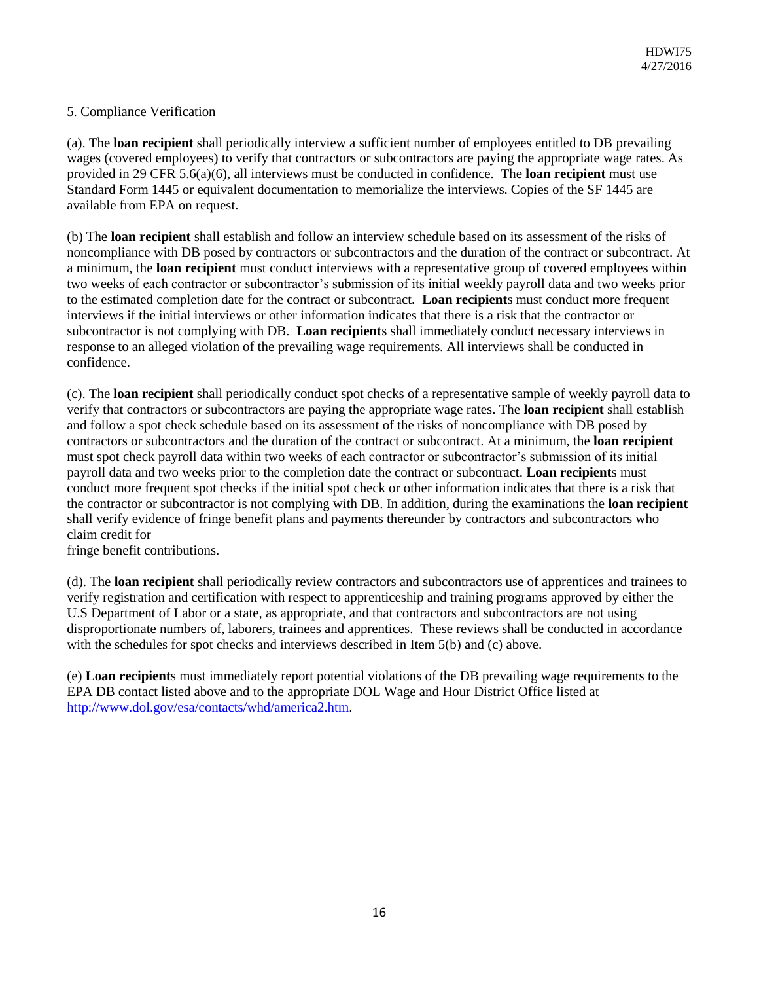#### 5. Compliance Verification

(a). The **loan recipient** shall periodically interview a sufficient number of employees entitled to DB prevailing wages (covered employees) to verify that contractors or subcontractors are paying the appropriate wage rates. As provided in 29 CFR 5.6(a)(6), all interviews must be conducted in confidence. The **loan recipient** must use Standard Form 1445 or equivalent documentation to memorialize the interviews. Copies of the SF 1445 are available from EPA on request.

(b) The **loan recipient** shall establish and follow an interview schedule based on its assessment of the risks of noncompliance with DB posed by contractors or subcontractors and the duration of the contract or subcontract. At a minimum, the **loan recipient** must conduct interviews with a representative group of covered employees within two weeks of each contractor or subcontractor's submission of its initial weekly payroll data and two weeks prior to the estimated completion date for the contract or subcontract. **Loan recipient**s must conduct more frequent interviews if the initial interviews or other information indicates that there is a risk that the contractor or subcontractor is not complying with DB. **Loan recipient**s shall immediately conduct necessary interviews in response to an alleged violation of the prevailing wage requirements. All interviews shall be conducted in confidence.

(c). The **loan recipient** shall periodically conduct spot checks of a representative sample of weekly payroll data to verify that contractors or subcontractors are paying the appropriate wage rates. The **loan recipient** shall establish and follow a spot check schedule based on its assessment of the risks of noncompliance with DB posed by contractors or subcontractors and the duration of the contract or subcontract. At a minimum, the **loan recipient**  must spot check payroll data within two weeks of each contractor or subcontractor's submission of its initial payroll data and two weeks prior to the completion date the contract or subcontract. **Loan recipient**s must conduct more frequent spot checks if the initial spot check or other information indicates that there is a risk that the contractor or subcontractor is not complying with DB. In addition, during the examinations the **loan recipient**  shall verify evidence of fringe benefit plans and payments thereunder by contractors and subcontractors who claim credit for

fringe benefit contributions.

(d). The **loan recipient** shall periodically review contractors and subcontractors use of apprentices and trainees to verify registration and certification with respect to apprenticeship and training programs approved by either the U.S Department of Labor or a state, as appropriate, and that contractors and subcontractors are not using disproportionate numbers of, laborers, trainees and apprentices. These reviews shall be conducted in accordance with the schedules for spot checks and interviews described in Item 5(b) and (c) above.

(e) **Loan recipient**s must immediately report potential violations of the DB prevailing wage requirements to the EPA DB contact listed above and to the appropriate DOL Wage and Hour District Office listed at http://www.dol.gov/esa/contacts/whd/america2.htm.